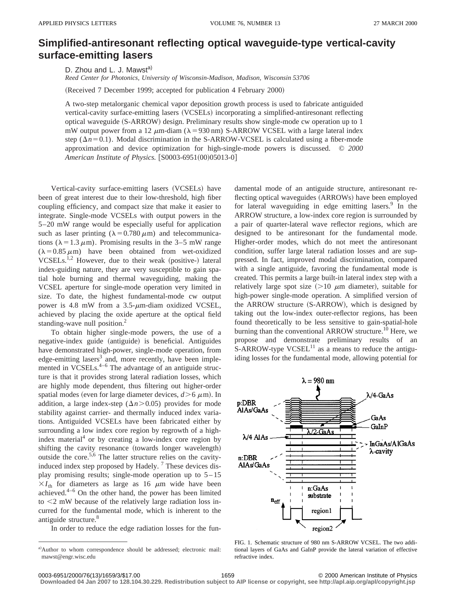## **Simplified-antiresonant reflecting optical waveguide-type vertical-cavity surface-emitting lasers**

D. Zhou and L. J. Mawst<sup>a)</sup>

*Reed Center for Photonics, University of Wisconsin-Madison, Madison, Wisconsin 53706*

(Received 7 December 1999; accepted for publication 4 February 2000)

A two-step metalorganic chemical vapor deposition growth process is used to fabricate antiguided vertical-cavity surface-emitting lasers (VCSELs) incorporating a simplified-antiresonant reflecting optical waveguide (S-ARROW) design. Preliminary results show single-mode cw operation up to 1 mW output power from a 12  $\mu$ m-diam ( $\lambda$ =930 nm) S-ARROW VCSEL with a large lateral index step ( $\Delta n$ =0.1). Modal discrimination in the S-ARROW-VCSEL is calculated using a fiber-mode approximation and device optimization for high-single-mode powers is discussed. © *2000 American Institute of Physics.*  $[$0003-6951(00)05013-0]$ 

Vertical-cavity surface-emitting lasers (VCSELs) have been of great interest due to their low-threshold, high fiber coupling efficiency, and compact size that make it easier to integrate. Single-mode VCSELs with output powers in the 5–20 mW range would be especially useful for application such as laser printing ( $\lambda = 0.780 \,\mu\text{m}$ ) and telecommunications ( $\lambda = 1.3 \mu$ m). Promising results in the 3–5 mW range  $(\lambda = 0.85 \,\mu\text{m})$  have been obtained from wet-oxidized VCSELs.<sup>1,2</sup> However, due to their weak (positive-) lateral index-guiding nature, they are very susceptible to gain spatial hole burning and thermal waveguiding, making the VCSEL aperture for single-mode operation very limited in size. To date, the highest fundamental-mode cw output power is 4.8 mW from a  $3.5-\mu$ m-diam oxidized VCSEL, achieved by placing the oxide aperture at the optical field standing-wave null position.<sup>2</sup>

To obtain higher single-mode powers, the use of a negative-index guide (antiguide) is beneficial. Antiguides have demonstrated high-power, single-mode operation, from edge-emitting lasers<sup>3</sup> and, more recently, have been implemented in VCSELs. $4-6$  The advantage of an antiguide structure is that it provides strong lateral radiation losses, which are highly mode dependent, thus filtering out higher-order spatial modes (even for large diameter devices,  $d > 6 \mu$ m). In addition, a large index-step  $(\Delta n > 0.05)$  provides for mode stability against carrier- and thermally induced index variations. Antiguided VCSELs have been fabricated either by surrounding a low index core region by regrowth of a highindex material<sup>4</sup> or by creating a low-index core region by shifting the cavity resonance (towards longer wavelength) outside the core.<sup>5,6</sup> The latter structure relies on the cavityinduced index step proposed by Hadely.<sup>7</sup> These devices display promising results; single-mode operation up to  $5-15$  $\times I_{th}$  for diameters as large as 16  $\mu$ m wide have been achieved. $4-6$  On the other hand, the power has been limited to  $\leq$  mW because of the relatively large radiation loss incurred for the fundamental mode, which is inherent to the antiguide structure.<sup>8</sup>

In order to reduce the edge radiation losses for the fun-

damental mode of an antiguide structure, antiresonant reflecting optical waveguides (ARROWs) have been employed for lateral waveguiding in edge emitting lasers. $9$  In the ARROW structure, a low-index core region is surrounded by a pair of quarter-lateral wave reflector regions, which are designed to be antiresonant for the fundamental mode. Higher-order modes, which do not meet the antiresonant condition, suffer large lateral radiation losses and are suppressed. In fact, improved modal discrimination, compared with a single antiguide, favoring the fundamental mode is created. This permits a large built-in lateral index step with a relatively large spot size  $(>10 \mu m)$  diameter), suitable for high-power single-mode operation. A simplified version of the  $ARROW$  structure  $(S-ARROW)$ , which is designed by taking out the low-index outer-reflector regions, has been found theoretically to be less sensitive to gain-spatial-hole burning than the conventional ARROW structure.<sup>10</sup> Here, we propose and demonstrate preliminary results of an  $S-ARROW-type VCSEL<sup>11</sup>$  as a means to reduce the antiguiding losses for the fundamental mode, allowing potential for



FIG. 1. Schematic structure of 980 nm S-ARROW VCSEL. The two additional layers of GaAs and GaInP provide the lateral variation of effective refractive index.

**Downloaded 04 Jan 2007 to 128.104.30.229. Redistribution subject to AIP license or copyright, see http://apl.aip.org/apl/copyright.jsp**

a)Author to whom correspondence should be addressed; electronic mail: mawst@engr.wisc.edu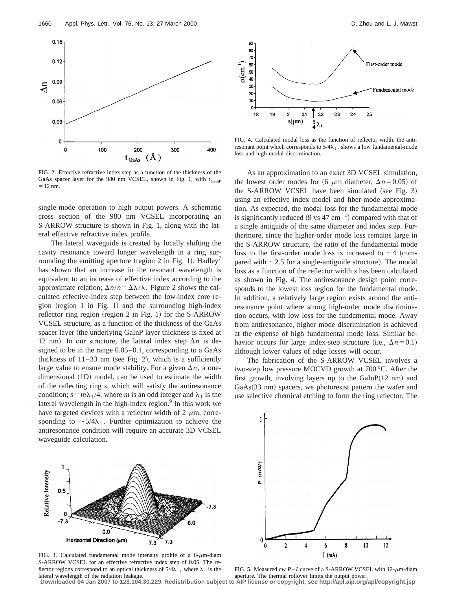

FIG. 2. Effective refractive index step as a function of the thickness of the GaAs spacer layer for the 980 nm VCSEL, shown in Fig. 1, with  $t_{\text{GalnP}}$  $=12$  nm.

single-mode operation to high output powers. A schematic cross section of the 980 nm VCSEL incorporating an S-ARROW structure is shown in Fig. 1, along with the lateral effective refractive index profile.

The lateral waveguide is created by locally shifting the cavity resonance toward longer wavelength in a ring surrounding the emitting aperture (region 2 in Fig. 1). Hadley<sup>7</sup> has shown that an increase in the resonant wavelength is equivalent to an increase of effective index according to the approximate relation;  $\Delta n/n = \Delta \lambda / \lambda$ . Figure 2 shows the calculated effective-index step between the low-index core region (region 1 in Fig. 1) and the surrounding high-index reflector ring region (region  $2$  in Fig. 1) for the S-ARROW VCSEL structure, as a function of the thickness of the GaAs spacer layer (the underlying GaInP layer thickness is fixed at 12 nm). In our structure, the lateral index step  $\Delta n$  is designed to be in the range 0.05–0.1, corresponding to a GaAs thickness of  $11-33$  nm (see Fig. 2), which is a sufficiently large value to ensure mode stability. For a given  $\Delta n$ , a onedimensional  $(1D)$  model, can be used to estimate the width of the reflecting ring *s*, which will satisfy the antiresonance condition;  $s = m\lambda_1/4$ , where *m* is an odd integer and  $\lambda_1$  is the lateral wavelength in the high-index region.<sup>9</sup> In this work we have targeted devices with a reflector width of 2  $\mu$ m, corresponding to  $\sim$  5/4 $\lambda_1$ . Further optimization to achieve the antiresonance condition will require an accurate 3D VCSEL waveguide calculation.



FIG. 3. Calculated fundamental mode intensity profile of a  $6-\mu$ m-diam S-ARROW VCSEL for an effective refractive index step of 0.05. The reflector regions correspond to an optical thickness of  $5/4\lambda_1$ , where  $\lambda_1$  is the lateral wavelength of the radiation leakage.



FIG. 4. Calculated modal loss as the function of reflector width, the antiresonant point which corresponds to  $5/4\lambda_1$ , shows a low fundamental-mode loss and high modal discrimination.

As an approximation to an exact 3D VCSEL simulation, the lowest order modes for (6  $\mu$ m diameter,  $\Delta n$ =0.05) of the S-ARROW VCSEL have been simulated (see Fig. 3) using an effective index model and fiber-mode approximation. As expected, the modal loss for the fundamental mode is significantly reduced (9 vs 47 cm<sup>-1</sup>) compared with that of a single antiguide of the same diameter and index step. Furthermore, since the higher-order mode loss remains large in the S-ARROW structure, the ratio of the fundamental mode loss to the first-order mode loss is increased to  $\sim$ 4 (compared with  $\sim$ 2.5 for a single-antiguide structure). The modal loss as a function of the reflector width *s* has been calculated as shown in Fig. 4. The antiresonance design point corresponds to the lowest loss region for the fundamental mode. In addition, a relatively large region exists around the antiresonance point where strong high-order mode discrimination occurs, with low loss for the fundamental mode. Away from antiresonance, higher mode discrimination is achieved at the expense of high fundamental mode loss. Similar behavior occurs for large index-step structure (i.e.,  $\Delta n$ =0.1) although lower values of edge losses will occur.

The fabrication of the S-ARROW VCSEL involves a two-step low pressure MOCVD growth at 700 °C. After the first growth, involving layers up to the  $GalnP(12 \text{ nm})$  and GaAs(33 nm) spacers, we photoresist pattern the wafer and use selective chemical etching to form the ring reflector. The



FIG. 5. Measured cw  $P-I$  curve of a S-ARROW VCSEL with  $12-\mu$ m-diam aperture. The thermal rollover limits the output power.

**Downloaded 04 Jan 2007 to 128.104.30.229. Redistribution subject to AIP license or copyright, see http://apl.aip.org/apl/copyright.jsp**